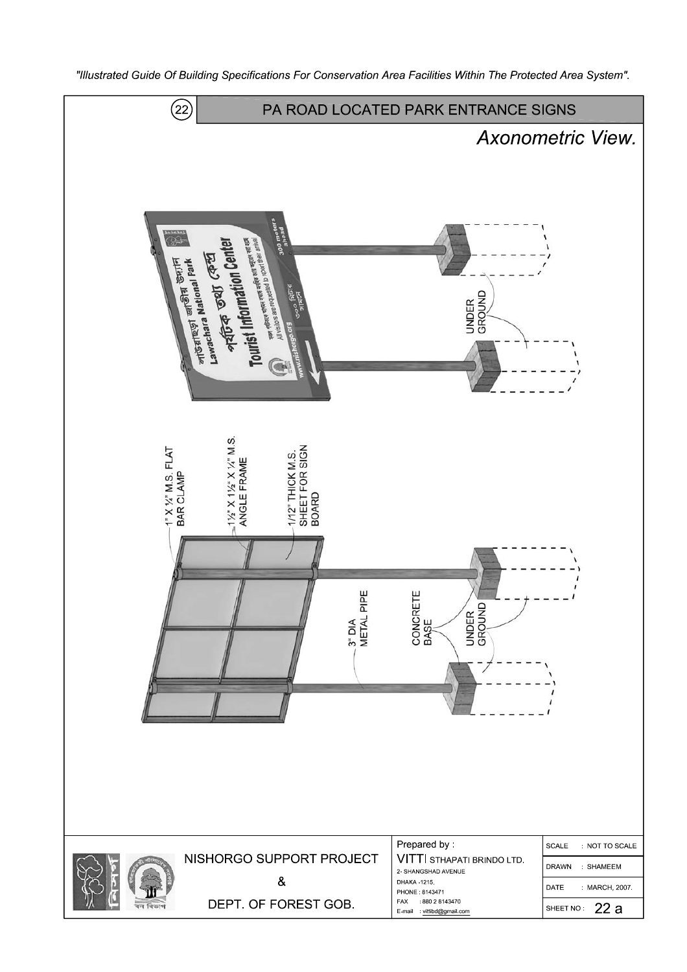

"Illustrated Guide Of Building Specifications For Conservation Area Facilities Within The Protected Area System".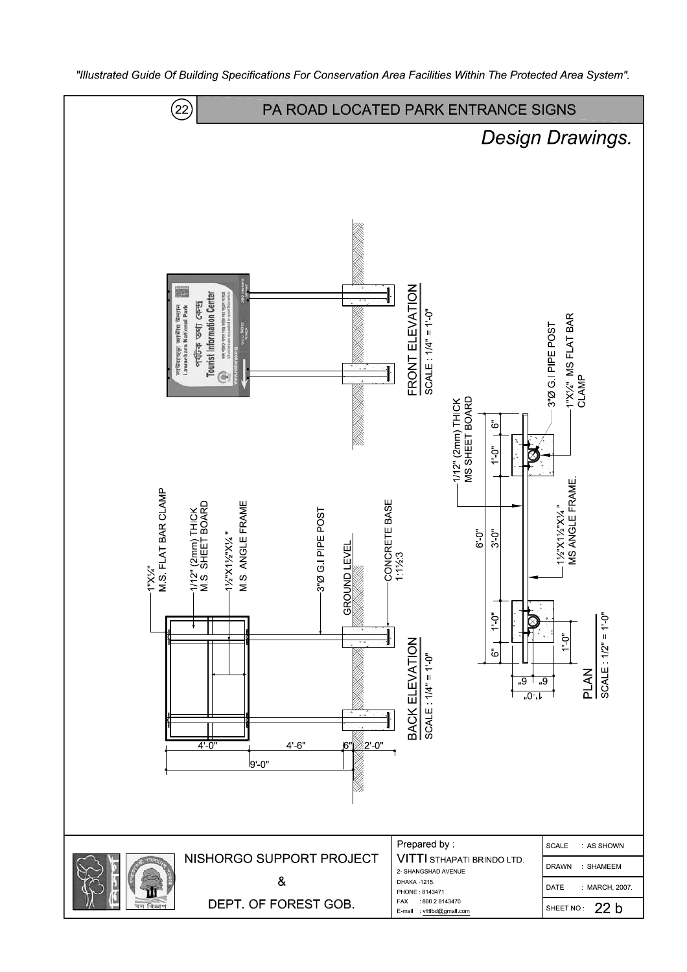

"Illustrated Guide Of Building Specifications For Conservation Area Facilities Within The Protected Area System".